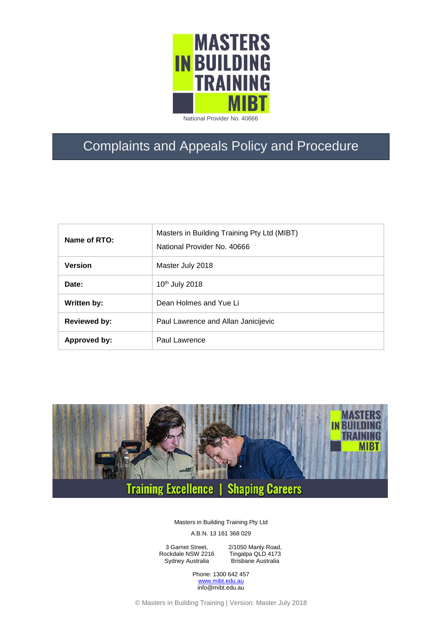

#### National Provider No. 40666

# Complaints and Appeals Policy and Procedure

| Name of RTO:        | Masters in Building Training Pty Ltd (MIBT)<br>National Provider No. 40666 |
|---------------------|----------------------------------------------------------------------------|
| <b>Version</b>      | Master July 2018                                                           |
| Date:               | 10 <sup>th</sup> July 2018                                                 |
| Written by:         | Dean Holmes and Yue Li                                                     |
| <b>Reviewed by:</b> | Paul Lawrence and Allan Janicijevic                                        |
| Approved by:        | Paul Lawrence                                                              |



Masters in Building Training Pty Ltd

A.B.N. 13 161 368 029

3 Garnet Street, Rockdale NSW 2216 Sydney Australia

2/1050 Manly Road, Tingalpa QLD 4173 Brisbane Australia

Phone: 1300 642 457 [www.mibt.edu.au](http://www.mibt.edu.au/) info@mibt.edu.au

© Masters in Building Training | Version: Master July 2018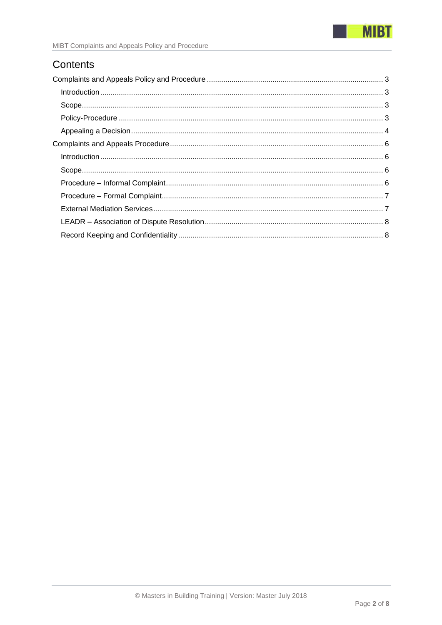

# Contents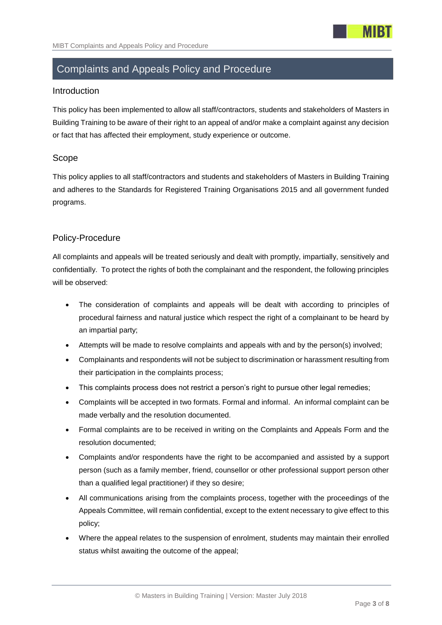

## <span id="page-2-0"></span>Complaints and Appeals Policy and Procedure

### <span id="page-2-1"></span>Introduction

This policy has been implemented to allow all staff/contractors, students and stakeholders of Masters in Building Training to be aware of their right to an appeal of and/or make a complaint against any decision or fact that has affected their employment, study experience or outcome.

### <span id="page-2-2"></span>Scope

This policy applies to all staff/contractors and students and stakeholders of Masters in Building Training and adheres to the Standards for Registered Training Organisations 2015 and all government funded programs.

### <span id="page-2-3"></span>Policy-Procedure

All complaints and appeals will be treated seriously and dealt with promptly, impartially, sensitively and confidentially. To protect the rights of both the complainant and the respondent, the following principles will be observed:

- The consideration of complaints and appeals will be dealt with according to principles of procedural fairness and natural justice which respect the right of a complainant to be heard by an impartial party;
- Attempts will be made to resolve complaints and appeals with and by the person(s) involved;
- Complainants and respondents will not be subject to discrimination or harassment resulting from their participation in the complaints process;
- This complaints process does not restrict a person's right to pursue other legal remedies;
- Complaints will be accepted in two formats. Formal and informal. An informal complaint can be made verbally and the resolution documented.
- Formal complaints are to be received in writing on the Complaints and Appeals Form and the resolution documented;
- Complaints and/or respondents have the right to be accompanied and assisted by a support person (such as a family member, friend, counsellor or other professional support person other than a qualified legal practitioner) if they so desire;
- All communications arising from the complaints process, together with the proceedings of the Appeals Committee, will remain confidential, except to the extent necessary to give effect to this policy;
- Where the appeal relates to the suspension of enrolment, students may maintain their enrolled status whilst awaiting the outcome of the appeal;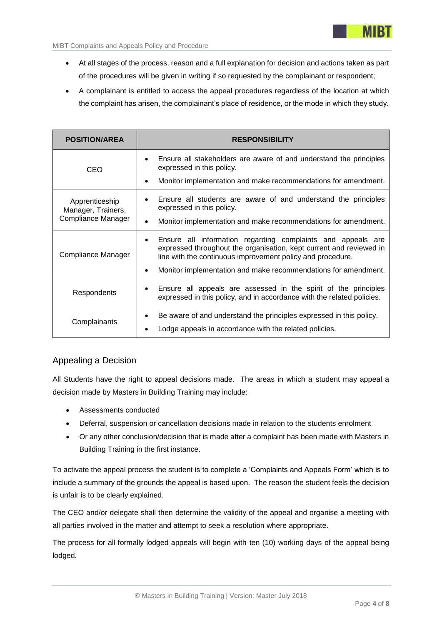- At all stages of the process, reason and a full explanation for decision and actions taken as part of the procedures will be given in writing if so requested by the complainant or respondent;
- A complainant is entitled to access the appeal procedures regardless of the location at which the complaint has arisen, the complainant's place of residence, or the mode in which they study.

| <b>POSITION/AREA</b>                                       | <b>RESPONSIBILITY</b>                                                                                                                                                                                                                                                           |
|------------------------------------------------------------|---------------------------------------------------------------------------------------------------------------------------------------------------------------------------------------------------------------------------------------------------------------------------------|
| CEO                                                        | Ensure all stakeholders are aware of and understand the principles<br>$\bullet$<br>expressed in this policy.                                                                                                                                                                    |
|                                                            | Monitor implementation and make recommendations for amendment.<br>$\bullet$                                                                                                                                                                                                     |
| Apprenticeship<br>Manager, Trainers,<br>Compliance Manager | Ensure all students are aware of and understand the principles<br>expressed in this policy.                                                                                                                                                                                     |
|                                                            | Monitor implementation and make recommendations for amendment.                                                                                                                                                                                                                  |
| Compliance Manager                                         | Ensure all information regarding complaints and appeals are<br>$\bullet$<br>expressed throughout the organisation, kept current and reviewed in<br>line with the continuous improvement policy and procedure.<br>Monitor implementation and make recommendations for amendment. |
| Respondents                                                | Ensure all appeals are assessed in the spirit of the principles<br>expressed in this policy, and in accordance with the related policies.                                                                                                                                       |
| Complainants                                               | Be aware of and understand the principles expressed in this policy.<br>Lodge appeals in accordance with the related policies.                                                                                                                                                   |

### <span id="page-3-0"></span>Appealing a Decision

All Students have the right to appeal decisions made. The areas in which a student may appeal a decision made by Masters in Building Training may include:

- Assessments conducted
- Deferral, suspension or cancellation decisions made in relation to the students enrolment
- Or any other conclusion/decision that is made after a complaint has been made with Masters in Building Training in the first instance.

To activate the appeal process the student is to complete a 'Complaints and Appeals Form' which is to include a summary of the grounds the appeal is based upon. The reason the student feels the decision is unfair is to be clearly explained.

The CEO and/or delegate shall then determine the validity of the appeal and organise a meeting with all parties involved in the matter and attempt to seek a resolution where appropriate.

The process for all formally lodged appeals will begin with ten (10) working days of the appeal being lodged.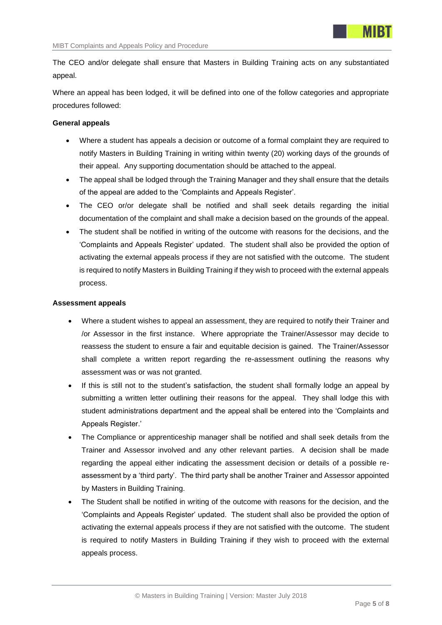The CEO and/or delegate shall ensure that Masters in Building Training acts on any substantiated appeal.

Where an appeal has been lodged, it will be defined into one of the follow categories and appropriate procedures followed:

#### **General appeals**

- Where a student has appeals a decision or outcome of a formal complaint they are required to notify Masters in Building Training in writing within twenty (20) working days of the grounds of their appeal. Any supporting documentation should be attached to the appeal.
- The appeal shall be lodged through the Training Manager and they shall ensure that the details of the appeal are added to the 'Complaints and Appeals Register'.
- The CEO or/or delegate shall be notified and shall seek details regarding the initial documentation of the complaint and shall make a decision based on the grounds of the appeal.
- The student shall be notified in writing of the outcome with reasons for the decisions, and the 'Complaints and Appeals Register' updated. The student shall also be provided the option of activating the external appeals process if they are not satisfied with the outcome. The student is required to notify Masters in Building Training if they wish to proceed with the external appeals process.

#### **Assessment appeals**

- Where a student wishes to appeal an assessment, they are required to notify their Trainer and /or Assessor in the first instance. Where appropriate the Trainer/Assessor may decide to reassess the student to ensure a fair and equitable decision is gained. The Trainer/Assessor shall complete a written report regarding the re-assessment outlining the reasons why assessment was or was not granted.
- If this is still not to the student's satisfaction, the student shall formally lodge an appeal by submitting a written letter outlining their reasons for the appeal. They shall lodge this with student administrations department and the appeal shall be entered into the 'Complaints and Appeals Register.'
- The Compliance or apprenticeship manager shall be notified and shall seek details from the Trainer and Assessor involved and any other relevant parties. A decision shall be made regarding the appeal either indicating the assessment decision or details of a possible reassessment by a 'third party'. The third party shall be another Trainer and Assessor appointed by Masters in Building Training.
- The Student shall be notified in writing of the outcome with reasons for the decision, and the 'Complaints and Appeals Register' updated. The student shall also be provided the option of activating the external appeals process if they are not satisfied with the outcome. The student is required to notify Masters in Building Training if they wish to proceed with the external appeals process.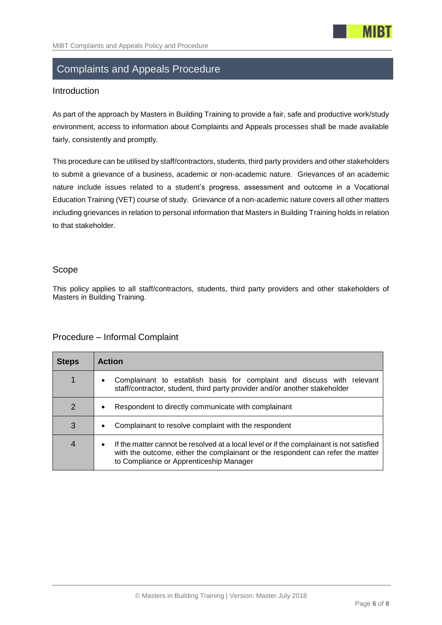

# <span id="page-5-0"></span>Complaints and Appeals Procedure

### <span id="page-5-1"></span>Introduction

As part of the approach by Masters in Building Training to provide a fair, safe and productive work/study environment, access to information about Complaints and Appeals processes shall be made available fairly, consistently and promptly.

This procedure can be utilised by staff/contractors, students, third party providers and other stakeholders to submit a grievance of a business, academic or non-academic nature. Grievances of an academic nature include issues related to a student's progress, assessment and outcome in a Vocational Education Training (VET) course of study. Grievance of a non-academic nature covers all other matters including grievances in relation to personal information that Masters in Building Training holds in relation to that stakeholder.

### <span id="page-5-2"></span>Scope

This policy applies to all staff/contractors, students, third party providers and other stakeholders of Masters in Building Training.

### <span id="page-5-3"></span>Procedure – Informal Complaint

| <b>Steps</b>   | <b>Action</b>                                                                                                                                                                                                                       |  |
|----------------|-------------------------------------------------------------------------------------------------------------------------------------------------------------------------------------------------------------------------------------|--|
| 1              | Complainant to establish basis for complaint and discuss with relevant<br>$\bullet$<br>staff/contractor, student, third party provider and/or another stakeholder                                                                   |  |
| 2              | Respondent to directly communicate with complainant<br>$\bullet$                                                                                                                                                                    |  |
| 3              | Complainant to resolve complaint with the respondent<br>$\bullet$                                                                                                                                                                   |  |
| $\overline{4}$ | If the matter cannot be resolved at a local level or if the complainant is not satisfied<br>$\bullet$<br>with the outcome, either the complainant or the respondent can refer the matter<br>to Compliance or Apprenticeship Manager |  |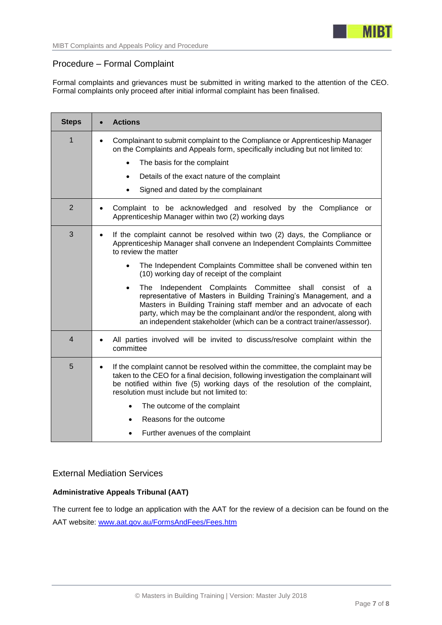

### <span id="page-6-0"></span>Procedure – Formal Complaint

Formal complaints and grievances must be submitted in writing marked to the attention of the CEO. Formal complaints only proceed after initial informal complaint has been finalised.

| <b>Steps</b>   | <b>Actions</b>                                                                                                                                                                                                                                                                                                                                                                 |
|----------------|--------------------------------------------------------------------------------------------------------------------------------------------------------------------------------------------------------------------------------------------------------------------------------------------------------------------------------------------------------------------------------|
| 1              | Complainant to submit complaint to the Compliance or Apprenticeship Manager<br>on the Complaints and Appeals form, specifically including but not limited to:                                                                                                                                                                                                                  |
|                | The basis for the complaint<br>$\bullet$                                                                                                                                                                                                                                                                                                                                       |
|                | Details of the exact nature of the complaint<br>$\bullet$                                                                                                                                                                                                                                                                                                                      |
|                | Signed and dated by the complainant                                                                                                                                                                                                                                                                                                                                            |
| 2              | Complaint to be acknowledged and resolved by the Compliance or<br>Apprenticeship Manager within two (2) working days                                                                                                                                                                                                                                                           |
| 3              | If the complaint cannot be resolved within two (2) days, the Compliance or<br>Apprenticeship Manager shall convene an Independent Complaints Committee<br>to review the matter                                                                                                                                                                                                 |
|                | The Independent Complaints Committee shall be convened within ten<br>$\bullet$<br>(10) working day of receipt of the complaint                                                                                                                                                                                                                                                 |
|                | Independent Complaints Committee<br>shall<br>consist<br>The<br>of a<br>$\bullet$<br>representative of Masters in Building Training's Management, and a<br>Masters in Building Training staff member and an advocate of each<br>party, which may be the complainant and/or the respondent, along with<br>an independent stakeholder (which can be a contract trainer/assessor). |
| $\overline{4}$ | All parties involved will be invited to discuss/resolve complaint within the<br>committee                                                                                                                                                                                                                                                                                      |
| 5              | If the complaint cannot be resolved within the committee, the complaint may be<br>$\bullet$<br>taken to the CEO for a final decision, following investigation the complainant will<br>be notified within five (5) working days of the resolution of the complaint,<br>resolution must include but not limited to:                                                              |
|                | The outcome of the complaint<br>$\bullet$                                                                                                                                                                                                                                                                                                                                      |
|                | Reasons for the outcome                                                                                                                                                                                                                                                                                                                                                        |
|                | Further avenues of the complaint<br>$\bullet$                                                                                                                                                                                                                                                                                                                                  |

### <span id="page-6-1"></span>External Mediation Services

### **Administrative Appeals Tribunal (AAT)**

The current fee to lodge an application with the AAT for the review of a decision can be found on the AAT website: [www.aat.gov.au/FormsAndFees/Fees.htm](http://www.aat.gov.au/FormsAndFees/Fees.htm)